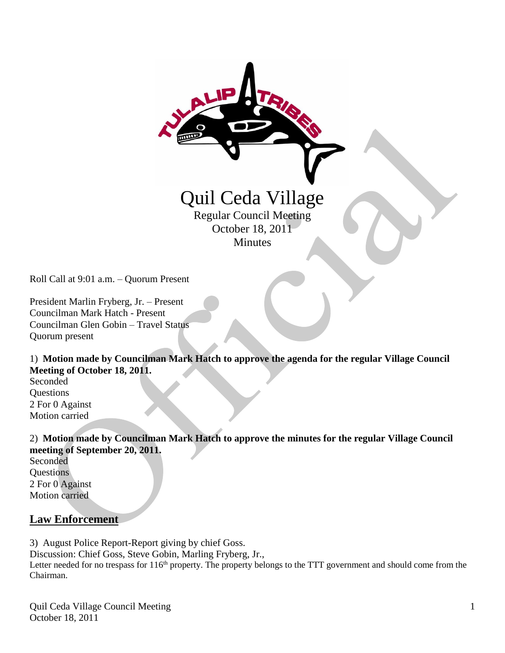

Roll Call at 9:01 a.m. – Quorum Present

President Marlin Fryberg, Jr. – Present Councilman Mark Hatch - Present Councilman Glen Gobin – Travel Status Quorum present

1) **Motion made by Councilman Mark Hatch to approve the agenda for the regular Village Council Meeting of October 18, 2011.**

Seconded Questions 2 For 0 Against Motion carried

2) **Motion made by Councilman Mark Hatch to approve the minutes for the regular Village Council meeting of September 20, 2011.** Seconded **Ouestions** 

2 For 0 Against Motion carried

#### **Law Enforcement**

3) August Police Report-Report giving by chief Goss.

Discussion: Chief Goss, Steve Gobin, Marling Fryberg, Jr.,

Letter needed for no trespass for 116<sup>th</sup> property. The property belongs to the TTT government and should come from the Chairman.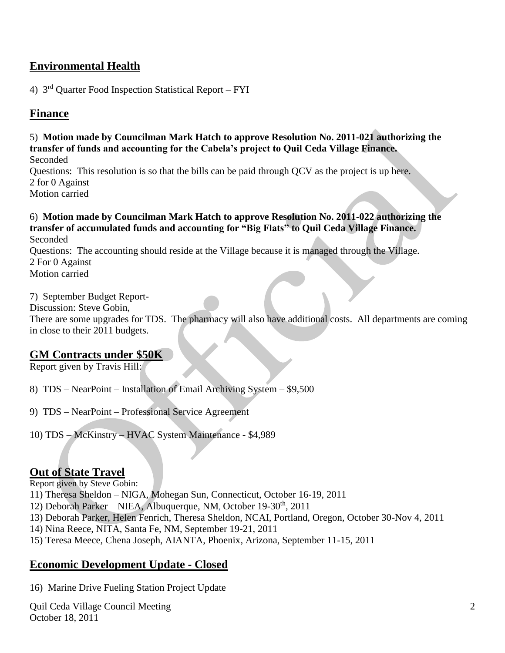# **Environmental Health**

4) 3rd Quarter Food Inspection Statistical Report – FYI

## **Finance**

5) **Motion made by Councilman Mark Hatch to approve Resolution No. 2011-021 authorizing the transfer of funds and accounting for the Cabela's project to Quil Ceda Village Finance.** Seconded

Questions: This resolution is so that the bills can be paid through QCV as the project is up here. 2 for 0 Against Motion carried

6) **Motion made by Councilman Mark Hatch to approve Resolution No. 2011-022 authorizing the transfer of accumulated funds and accounting for "Big Flats" to Quil Ceda Village Finance.** Seconded

Questions: The accounting should reside at the Village because it is managed through the Village. 2 For 0 Against Motion carried

7) September Budget Report-

Discussion: Steve Gobin,

There are some upgrades for TDS. The pharmacy will also have additional costs. All departments are coming in close to their 2011 budgets.

#### **GM Contracts under \$50K**

Report given by Travis Hill:

- 8) TDS NearPoint Installation of Email Archiving System \$9,500
- 9) TDS NearPoint Professional Service Agreement
- 10) TDS McKinstry HVAC System Maintenance \$4,989

### **Out of State Travel**

Report given by Steve Gobin:

11) Theresa Sheldon – NIGA, Mohegan Sun, Connecticut, October 16-19, 2011

- 12) Deborah Parker NIEA, Albuquerque, NM, October 19-30<sup>th</sup>, 2011
- 13) Deborah Parker, Helen Fenrich, Theresa Sheldon, NCAI, Portland, Oregon, October 30-Nov 4, 2011

14) Nina Reece, NITA, Santa Fe, NM, September 19-21, 2011

15) Teresa Meece, Chena Joseph, AIANTA, Phoenix, Arizona, September 11-15, 2011

### **Economic Development Update - Closed**

16) Marine Drive Fueling Station Project Update

Quil Ceda Village Council Meeting October 18, 2011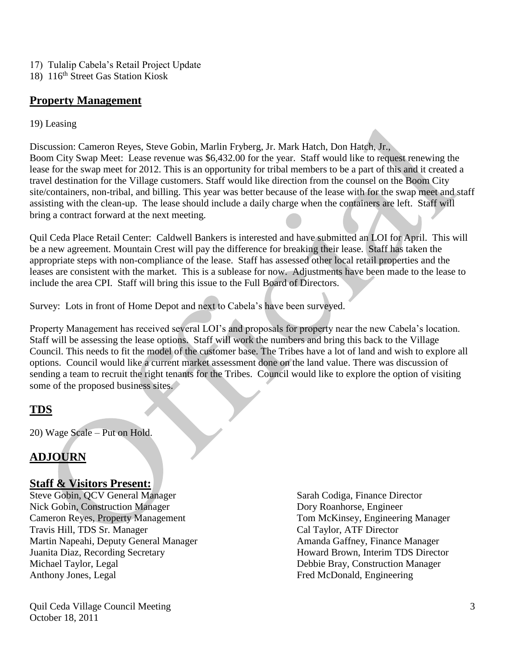- 17) Tulalip Cabela's Retail Project Update
- 18) 116th Street Gas Station Kiosk

## **Property Management**

#### 19) Leasing

Discussion: Cameron Reyes, Steve Gobin, Marlin Fryberg, Jr. Mark Hatch, Don Hatch, Jr., Boom City Swap Meet: Lease revenue was \$6,432.00 for the year. Staff would like to request renewing the lease for the swap meet for 2012. This is an opportunity for tribal members to be a part of this and it created a travel destination for the Village customers. Staff would like direction from the counsel on the Boom City site/containers, non-tribal, and billing. This year was better because of the lease with for the swap meet and staff assisting with the clean-up. The lease should include a daily charge when the containers are left. Staff will bring a contract forward at the next meeting.

Quil Ceda Place Retail Center: Caldwell Bankers is interested and have submitted an LOI for April. This will be a new agreement. Mountain Crest will pay the difference for breaking their lease. Staff has taken the appropriate steps with non-compliance of the lease. Staff has assessed other local retail properties and the leases are consistent with the market. This is a sublease for now. Adjustments have been made to the lease to include the area CPI. Staff will bring this issue to the Full Board of Directors.

Survey: Lots in front of Home Depot and next to Cabela's have been surveyed.

Property Management has received several LOI's and proposals for property near the new Cabela's location. Staff will be assessing the lease options. Staff will work the numbers and bring this back to the Village Council. This needs to fit the model of the customer base. The Tribes have a lot of land and wish to explore all options. Council would like a current market assessment done on the land value. There was discussion of sending a team to recruit the right tenants for the Tribes. Council would like to explore the option of visiting some of the proposed business sites.

# **TDS**

20) Wage Scale – Put on Hold.

# **ADJOURN**

### **Staff & Visitors Present:**

Steve Gobin, QCV General Manager Sarah Codiga, Finance Director Nick Gobin, Construction Manager Dory Roanhorse, Engineer Cameron Reyes, Property Management Tom McKinsey, Engineering Manager Travis Hill, TDS Sr. Manager Cal Taylor, ATF Director Martin Napeahi, Deputy General Manager Amanda Gaffney, Finance Manager Juanita Diaz, Recording Secretary Howard Brown, Interim TDS Director Michael Taylor, Legal Debbie Bray, Construction Manager Anthony Jones, Legal Fred McDonald, Engineering

Quil Ceda Village Council Meeting October 18, 2011